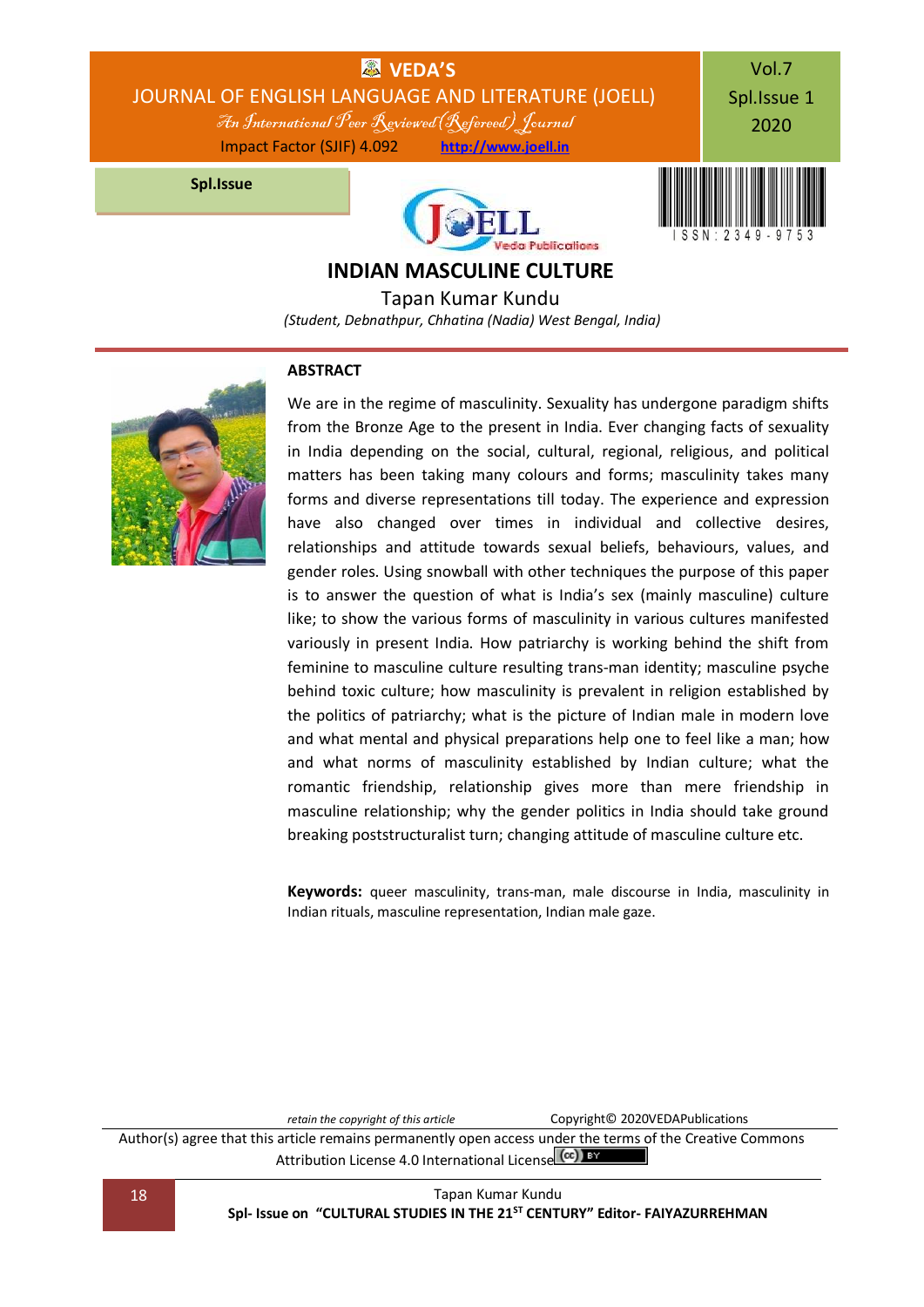

Tapan Kumar Kundu *(Student, Debnathpur, Chhatina (Nadia) West Bengal, India)*



### **ABSTRACT**

We are in the regime of masculinity. Sexuality has undergone paradigm shifts from the Bronze Age to the present in India. Ever changing facts of sexuality in India depending on the social, cultural, regional, religious, and political matters has been taking many colours and forms; masculinity takes many forms and diverse representations till today. The experience and expression have also changed over times in individual and collective desires, relationships and attitude towards sexual beliefs, behaviours, values, and gender roles. Using snowball with other techniques the purpose of this paper is to answer the question of what is India's sex (mainly masculine) culture like; to show the various forms of masculinity in various cultures manifested variously in present India. How patriarchy is working behind the shift from feminine to masculine culture resulting trans-man identity; masculine psyche behind toxic culture; how masculinity is prevalent in religion established by the politics of patriarchy; what is the picture of Indian male in modern love and what mental and physical preparations help one to feel like a man; how and what norms of masculinity established by Indian culture; what the romantic friendship, relationship gives more than mere friendship in masculine relationship; why the gender politics in India should take ground breaking poststructuralist turn; changing attitude of masculine culture etc.

**Keywords:** queer masculinity, trans-man, male discourse in India, masculinity in Indian rituals, masculine representation, Indian male gaze.

*retain the copyright of this article* Copyright© 2020VEDAPublications Author(s) agree that this article remains permanently open access under the terms of the Creative Commons Attribution Lic[e](http://creativecommons.org/licenses/by/4.0/)nse 4.0 International License (CC) BY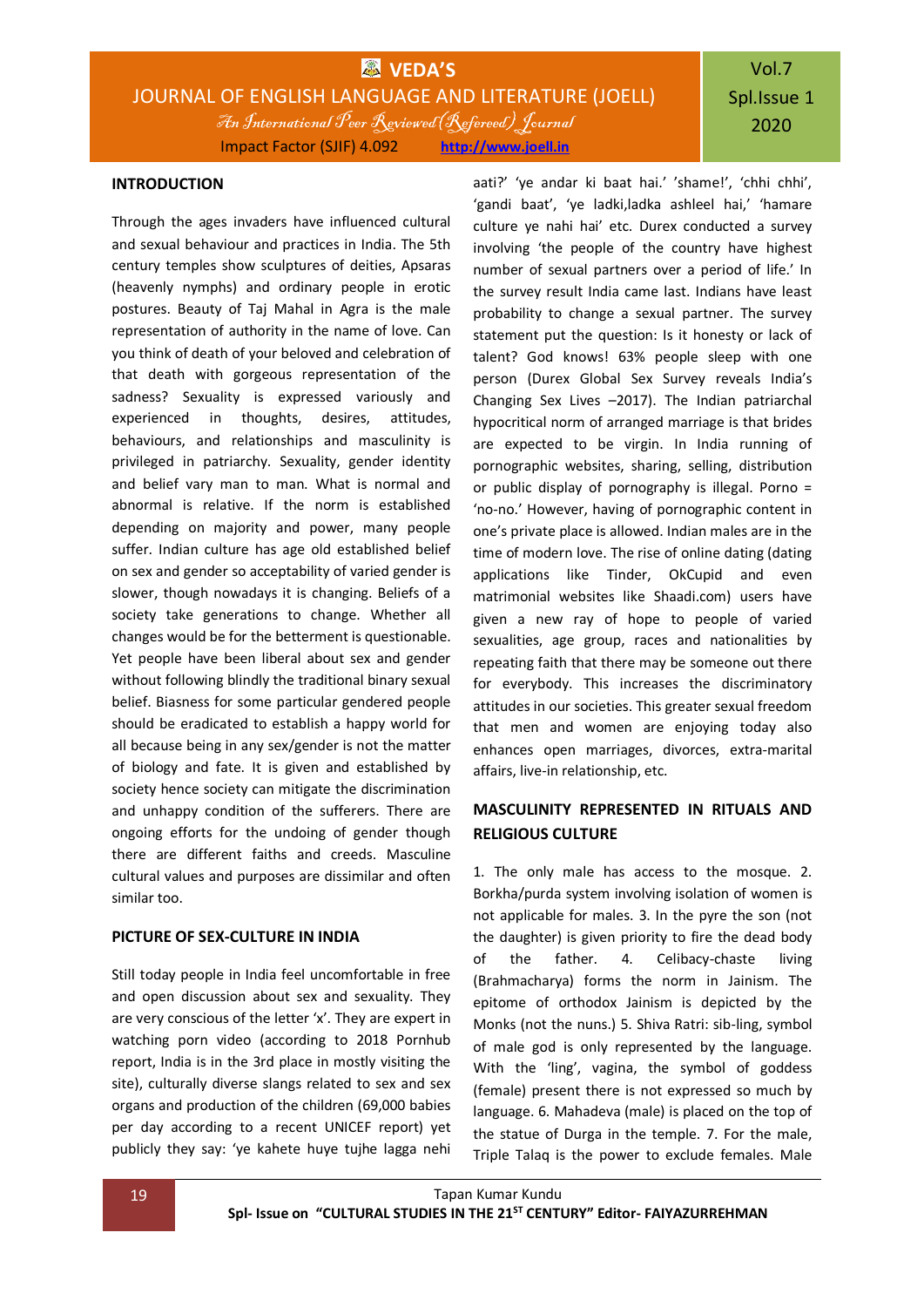# Vol.7 Spl.Issue 1 2020

#### **INTRODUCTION**

Through the ages invaders have influenced cultural and sexual behaviour and practices in India. The 5th century temples show sculptures of deities, Apsaras (heavenly nymphs) and ordinary people in erotic postures. Beauty of Taj Mahal in Agra is the male representation of authority in the name of love. Can you think of death of your beloved and celebration of that death with gorgeous representation of the sadness? Sexuality is expressed variously and experienced in thoughts, desires, attitudes, behaviours, and relationships and masculinity is privileged in patriarchy. Sexuality, gender identity and belief vary man to man. What is normal and abnormal is relative. If the norm is established depending on majority and power, many people suffer. Indian culture has age old established belief on sex and gender so acceptability of varied gender is slower, though nowadays it is changing. Beliefs of a society take generations to change. Whether all changes would be for the betterment is questionable. Yet people have been liberal about sex and gender without following blindly the traditional binary sexual belief. Biasness for some particular gendered people should be eradicated to establish a happy world for all because being in any sex/gender is not the matter of biology and fate. It is given and established by society hence society can mitigate the discrimination and unhappy condition of the sufferers. There are ongoing efforts for the undoing of gender though there are different faiths and creeds. Masculine cultural values and purposes are dissimilar and often similar too.

#### **PICTURE OF SEX-CULTURE IN INDIA**

Still today people in India feel uncomfortable in free and open discussion about sex and sexuality. They are very conscious of the letter 'x'. They are expert in watching porn video (according to 2018 Pornhub report, India is in the 3rd place in mostly visiting the site), culturally diverse slangs related to sex and sex organs and production of the children (69,000 babies per day according to a recent UNICEF report) yet publicly they say: 'ye kahete huye tujhe lagga nehi aati?' 'ye andar ki baat hai.' 'shame!', 'chhi chhi', 'gandi baat', 'ye ladki,ladka ashleel hai,' 'hamare culture ye nahi hai' etc. Durex conducted a survey involving 'the people of the country have highest number of sexual partners over a period of life.' In the survey result India came last. Indians have least probability to change a sexual partner. The survey statement put the question: Is it honesty or lack of talent? God knows! 63% people sleep with one person (Durex Global Sex Survey reveals India's Changing Sex Lives –2017). The Indian patriarchal hypocritical norm of arranged marriage is that brides are expected to be virgin. In India running of pornographic websites, sharing, selling, distribution or public display of pornography is illegal. Porno = 'no-no.' However, having of pornographic content in one's private place is allowed. Indian males are in the time of modern love. The rise of online dating (dating applications like Tinder, OkCupid and even matrimonial websites like Shaadi.com) users have given a new ray of hope to people of varied sexualities, age group, races and nationalities by repeating faith that there may be someone out there for everybody. This increases the discriminatory attitudes in our societies. This greater sexual freedom that men and women are enjoying today also enhances open marriages, divorces, extra-marital affairs, live-in relationship, etc.

## **MASCULINITY REPRESENTED IN RITUALS AND RELIGIOUS CULTURE**

1. The only male has access to the mosque. 2. Borkha/purda system involving isolation of women is not applicable for males. 3. In the pyre the son (not the daughter) is given priority to fire the dead body of the father. 4. Celibacy-chaste living (Brahmacharya) forms the norm in Jainism. The epitome of orthodox Jainism is depicted by the Monks (not the nuns.) 5. Shiva Ratri: sib-ling, symbol of male god is only represented by the language. With the 'ling', vagina, the symbol of goddess (female) present there is not expressed so much by language. 6. Mahadeva (male) is placed on the top of the statue of Durga in the temple. 7. For the male, Triple Talaq is the power to exclude females. Male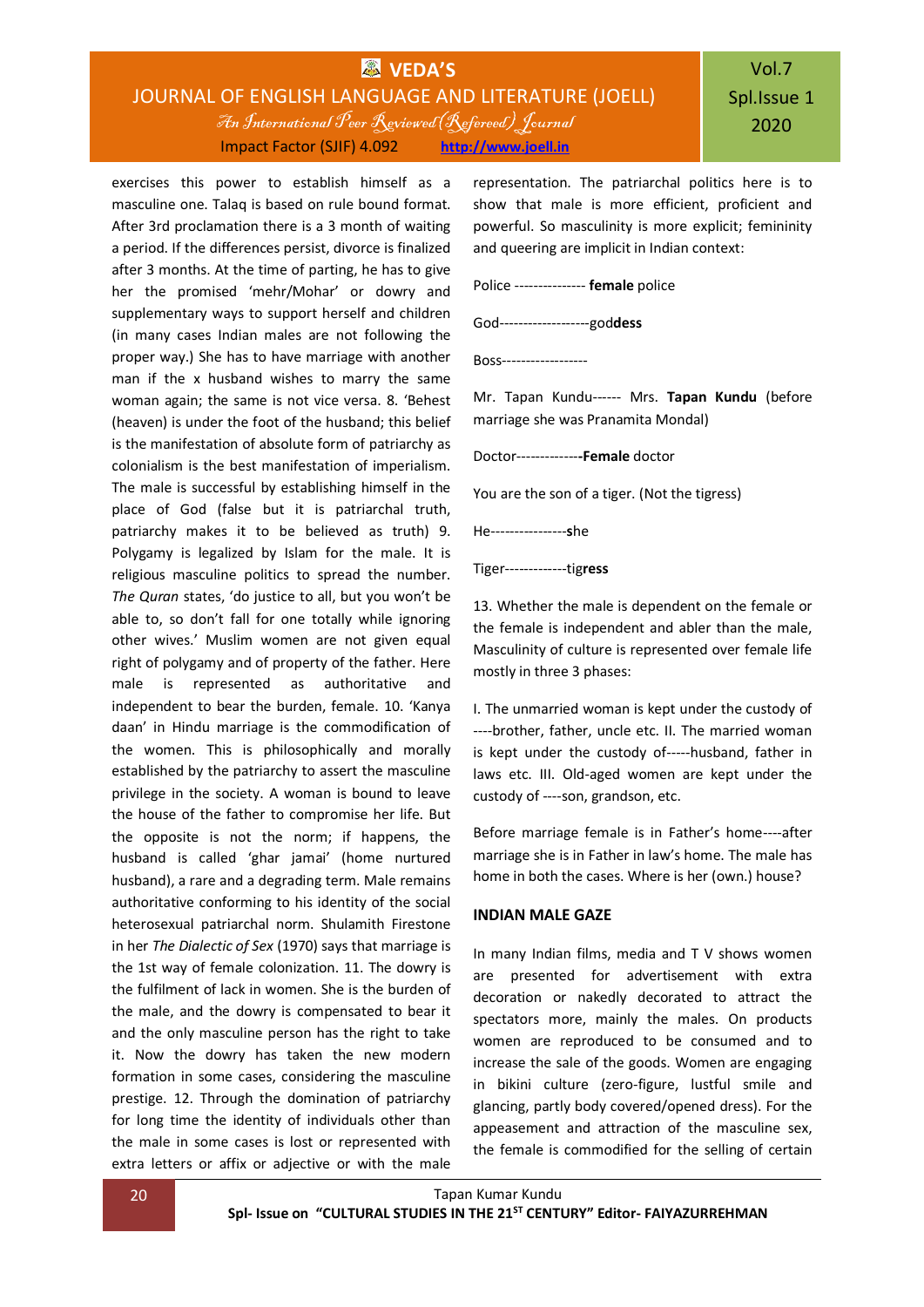exercises this power to establish himself as a masculine one. Talaq is based on rule bound format. After 3rd proclamation there is a 3 month of waiting a period. If the differences persist, divorce is finalized after 3 months. At the time of parting, he has to give her the promised 'mehr/Mohar' or dowry and supplementary ways to support herself and children (in many cases Indian males are not following the proper way.) She has to have marriage with another man if the x husband wishes to marry the same woman again; the same is not vice versa. 8. 'Behest (heaven) is under the foot of the husband; this belief is the manifestation of absolute form of patriarchy as colonialism is the best manifestation of imperialism. The male is successful by establishing himself in the place of God (false but it is patriarchal truth, patriarchy makes it to be believed as truth) 9. Polygamy is legalized by Islam for the male. It is religious masculine politics to spread the number. *The Quran* states, 'do justice to all, but you won't be able to, so don't fall for one totally while ignoring other wives.' Muslim women are not given equal right of polygamy and of property of the father. Here male is represented as authoritative and independent to bear the burden, female. 10. 'Kanya daan' in Hindu marriage is the commodification of the women. This is philosophically and morally established by the patriarchy to assert the masculine privilege in the society. A woman is bound to leave the house of the father to compromise her life. But the opposite is not the norm; if happens, the husband is called 'ghar jamai' (home nurtured husband), a rare and a degrading term. Male remains authoritative conforming to his identity of the social heterosexual patriarchal norm. Shulamith Firestone in her *The Dialectic of Sex* (1970) says that marriage is the 1st way of female colonization. 11. The dowry is the fulfilment of lack in women. She is the burden of the male, and the dowry is compensated to bear it and the only masculine person has the right to take it. Now the dowry has taken the new modern formation in some cases, considering the masculine prestige. 12. Through the domination of patriarchy for long time the identity of individuals other than the male in some cases is lost or represented with extra letters or affix or adjective or with the male

representation. The patriarchal politics here is to show that male is more efficient, proficient and powerful. So masculinity is more explicit; femininity and queering are implicit in Indian context:

Police --------------- **female** police

God-------------------god**dess**

Boss------------------

Mr. Tapan Kundu------ Mrs. **Tapan Kundu** (before marriage she was Pranamita Mondal)

Doctor-------------**-Female** doctor

You are the son of a tiger. (Not the tigress)

He----------------**s**he

Tiger-------------tig**ress**

13. Whether the male is dependent on the female or the female is independent and abler than the male, Masculinity of culture is represented over female life mostly in three 3 phases:

I. The unmarried woman is kept under the custody of ----brother, father, uncle etc. II. The married woman is kept under the custody of-----husband, father in laws etc. III. Old-aged women are kept under the custody of ----son, grandson, etc.

Before marriage female is in Father's home----after marriage she is in Father in law's home. The male has home in both the cases. Where is her (own.) house?

#### **INDIAN MALE GAZE**

In many Indian films, media and T V shows women are presented for advertisement with extra decoration or nakedly decorated to attract the spectators more, mainly the males. On products women are reproduced to be consumed and to increase the sale of the goods. Women are engaging in bikini culture (zero-figure, lustful smile and glancing, partly body covered/opened dress). For the appeasement and attraction of the masculine sex, the female is commodified for the selling of certain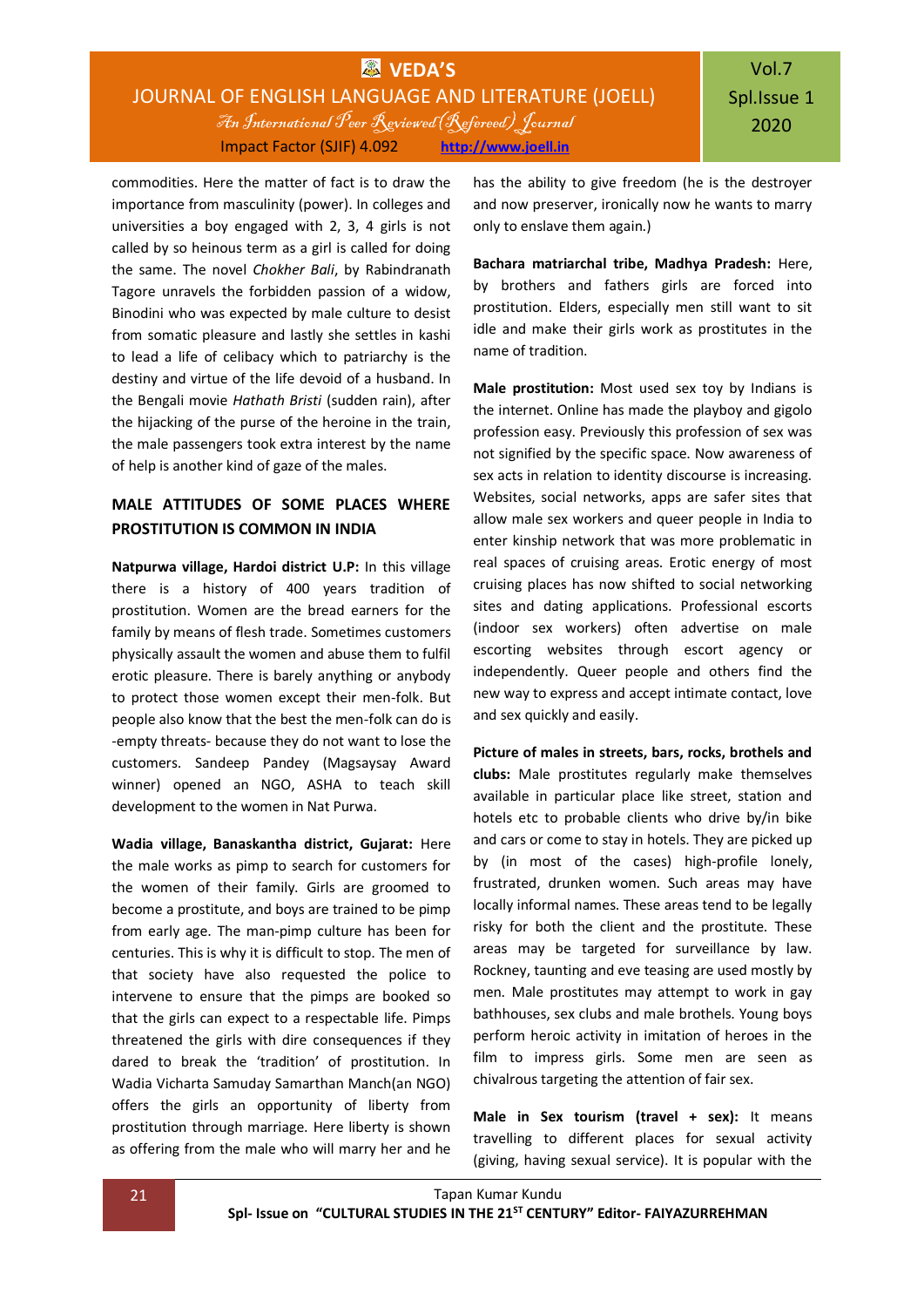commodities. Here the matter of fact is to draw the importance from masculinity (power). In colleges and universities a boy engaged with 2, 3, 4 girls is not called by so heinous term as a girl is called for doing the same. The novel *Chokher Bali*, by Rabindranath Tagore unravels the forbidden passion of a widow, Binodini who was expected by male culture to desist from somatic pleasure and lastly she settles in kashi to lead a life of celibacy which to patriarchy is the destiny and virtue of the life devoid of a husband. In the Bengali movie *Hathath Bristi* (sudden rain), after the hijacking of the purse of the heroine in the train, the male passengers took extra interest by the name of help is another kind of gaze of the males.

### **MALE ATTITUDES OF SOME PLACES WHERE PROSTITUTION IS COMMON IN INDIA**

**Natpurwa village, Hardoi district U.P:** In this village there is a history of 400 years tradition of prostitution. Women are the bread earners for the family by means of flesh trade. Sometimes customers physically assault the women and abuse them to fulfil erotic pleasure. There is barely anything or anybody to protect those women except their men-folk. But people also know that the best the men-folk can do is -empty threats- because they do not want to lose the customers. Sandeep Pandey (Magsaysay Award winner) opened an NGO, ASHA to teach skill development to the women in Nat Purwa.

**Wadia village, Banaskantha district, Gujarat:** Here the male works as pimp to search for customers for the women of their family. Girls are groomed to become a prostitute, and boys are trained to be pimp from early age. The man-pimp culture has been for centuries. This is why it is difficult to stop. The men of that society have also requested the police to intervene to ensure that the pimps are booked so that the girls can expect to a respectable life. Pimps threatened the girls with dire consequences if they dared to break the 'tradition' of prostitution. In Wadia Vicharta Samuday Samarthan Manch(an NGO) offers the girls an opportunity of liberty from prostitution through marriage. Here liberty is shown as offering from the male who will marry her and he has the ability to give freedom (he is the destroyer and now preserver, ironically now he wants to marry only to enslave them again.)

**Bachara matriarchal tribe, Madhya Pradesh:** Here, by brothers and fathers girls are forced into prostitution. Elders, especially men still want to sit idle and make their girls work as prostitutes in the name of tradition.

**Male prostitution:** Most used sex toy by Indians is the internet. Online has made the playboy and gigolo profession easy. Previously this profession of sex was not signified by the specific space. Now awareness of sex acts in relation to identity discourse is increasing. Websites, social networks, apps are safer sites that allow male sex workers and queer people in India to enter kinship network that was more problematic in real spaces of cruising areas. Erotic energy of most cruising places has now shifted to social networking sites and dating applications. Professional escorts (indoor sex workers) often advertise on male escorting websites through escort agency or independently. Queer people and others find the new way to express and accept intimate contact, love and sex quickly and easily.

**Picture of males in streets, bars, rocks, brothels and clubs:** Male prostitutes regularly make themselves available in particular place like street, station and hotels etc to probable clients who drive by/in bike and cars or come to stay in hotels. They are picked up by (in most of the cases) high-profile lonely, frustrated, drunken women. Such areas may have locally informal names. These areas tend to be legally risky for both the client and the prostitute. These areas may be targeted for surveillance by law. Rockney, taunting and eve teasing are used mostly by men. Male prostitutes may attempt to work in gay bathhouses, sex clubs and male brothels. Young boys perform heroic activity in imitation of heroes in the film to impress girls. Some men are seen as chivalrous targeting the attention of fair sex.

**Male in Sex tourism (travel + sex):** It means travelling to different places for sexual activity (giving, having sexual service). It is popular with the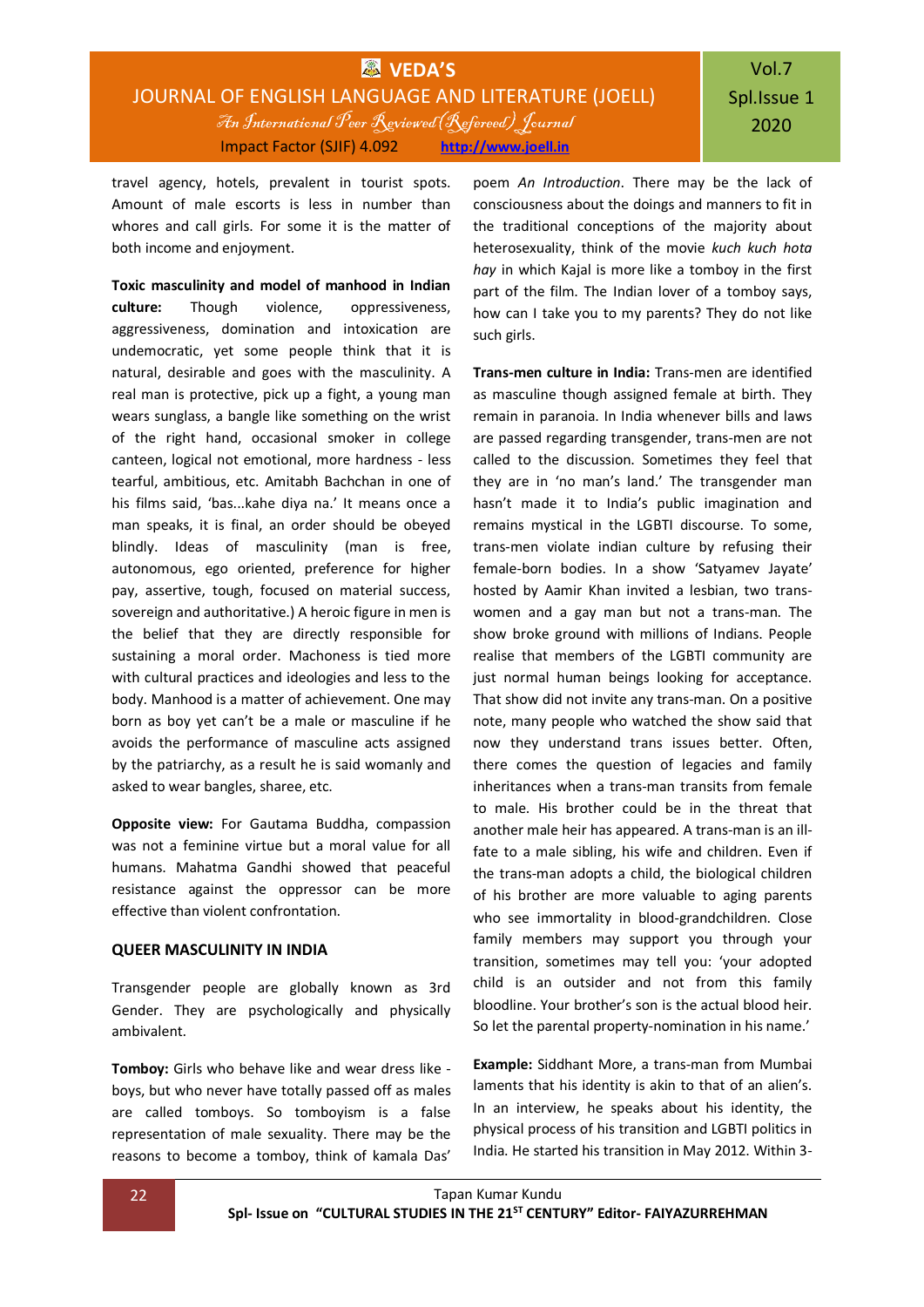travel agency, hotels, prevalent in tourist spots. Amount of male escorts is less in number than whores and call girls. For some it is the matter of both income and enjoyment.

**Toxic masculinity and model of manhood in Indian culture:** Though violence, oppressiveness, aggressiveness, domination and intoxication are undemocratic, yet some people think that it is natural, desirable and goes with the masculinity. A real man is protective, pick up a fight, a young man wears sunglass, a bangle like something on the wrist of the right hand, occasional smoker in college canteen, logical not emotional, more hardness - less tearful, ambitious, etc. Amitabh Bachchan in one of his films said, 'bas...kahe diya na.' It means once a man speaks, it is final, an order should be obeyed blindly. Ideas of masculinity (man is free, autonomous, ego oriented, preference for higher pay, assertive, tough, focused on material success, sovereign and authoritative.) A heroic figure in men is the belief that they are directly responsible for sustaining a moral order. Machoness is tied more with cultural practices and ideologies and less to the body. Manhood is a matter of achievement. One may born as boy yet can't be a male or masculine if he avoids the performance of masculine acts assigned by the patriarchy, as a result he is said womanly and asked to wear bangles, sharee, etc.

**Opposite view:** For Gautama Buddha, compassion was not a feminine virtue but a moral value for all humans. Mahatma Gandhi showed that peaceful resistance against the oppressor can be more effective than violent confrontation.

### **QUEER MASCULINITY IN INDIA**

Transgender people are globally known as 3rd Gender. They are psychologically and physically ambivalent.

**Tomboy:** Girls who behave like and wear dress like boys, but who never have totally passed off as males are called tomboys. So tomboyism is a false representation of male sexuality. There may be the reasons to become a tomboy, think of kamala Das'

poem *An Introduction*. There may be the lack of consciousness about the doings and manners to fit in the traditional conceptions of the majority about heterosexuality, think of the movie *kuch kuch hota hay* in which Kajal is more like a tomboy in the first part of the film. The Indian lover of a tomboy says, how can I take you to my parents? They do not like such girls.

**Trans-men culture in India:** Trans-men are identified as masculine though assigned female at birth. They remain in paranoia. In India whenever bills and laws are passed regarding transgender, trans-men are not called to the discussion. Sometimes they feel that they are in 'no man's land.' The transgender man hasn't made it to India's public imagination and remains mystical in the LGBTI discourse. To some, trans-men violate indian culture by refusing their female-born bodies. In a show 'Satyamev Jayate' hosted by Aamir Khan invited a lesbian, two transwomen and a gay man but not a trans-man. The show broke ground with millions of Indians. People realise that members of the LGBTI community are just normal human beings looking for acceptance. That show did not invite any trans-man. On a positive note, many people who watched the show said that now they understand trans issues better. Often, there comes the question of legacies and family inheritances when a trans-man transits from female to male. His brother could be in the threat that another male heir has appeared. A trans-man is an illfate to a male sibling, his wife and children. Even if the trans-man adopts a child, the biological children of his brother are more valuable to aging parents who see immortality in blood-grandchildren. Close family members may support you through your transition, sometimes may tell you: 'your adopted child is an outsider and not from this family bloodline. Your brother's son is the actual blood heir. So let the parental property-nomination in his name.'

**Example:** Siddhant More, a trans-man from Mumbai laments that his identity is akin to that of an alien's. In an interview, he speaks about his identity, the physical process of his transition and LGBTI politics in India. He started his transition in May 2012. Within 3-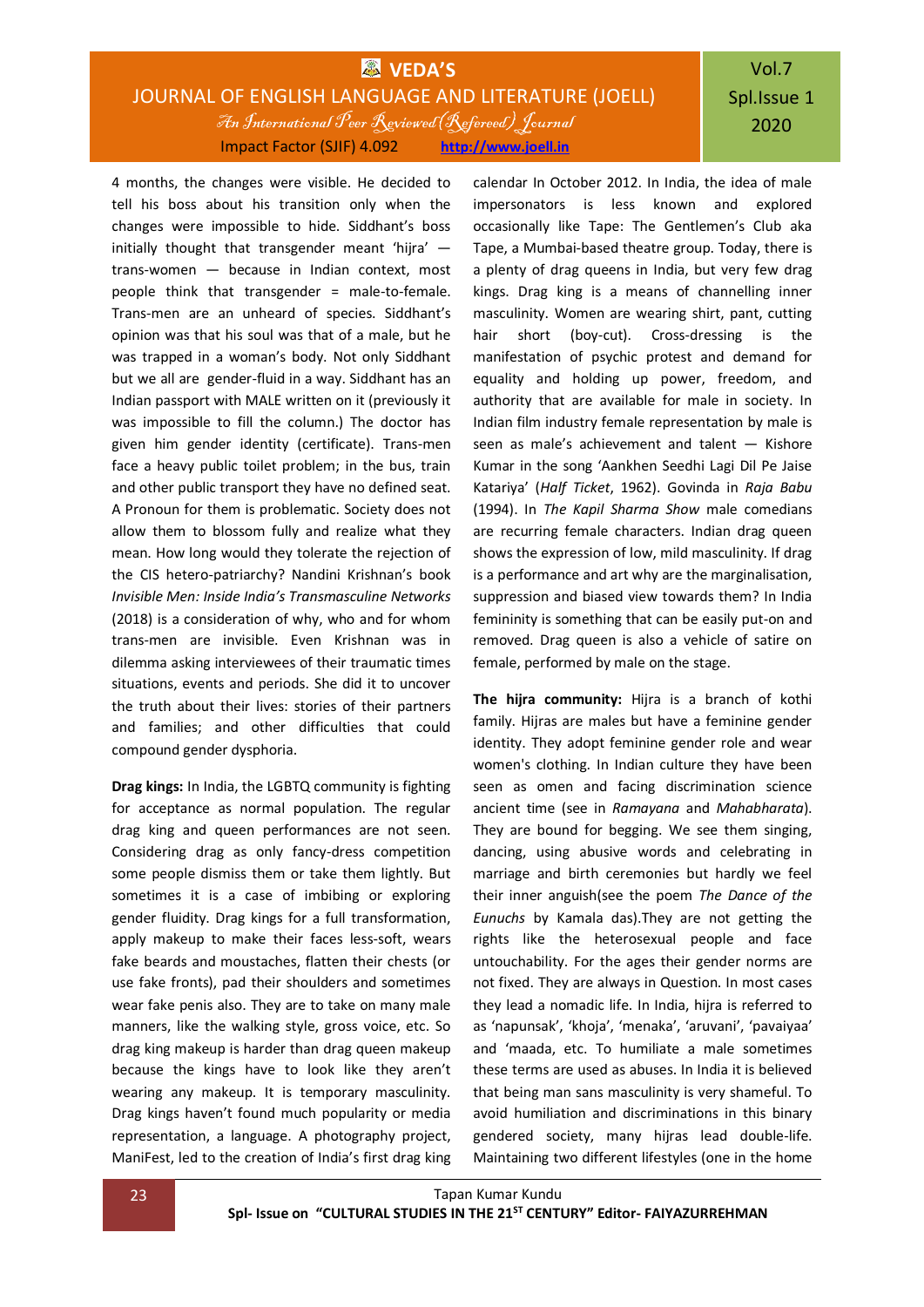# Vol.7 Spl.Issue 1 2020

4 months, the changes were visible. He decided to tell his boss about his transition only when the changes were impossible to hide. Siddhant's boss initially thought that transgender meant 'hijra'  $$ trans-women — because in Indian context, most people think that transgender = male-to-female. Trans-men are an unheard of species. Siddhant's opinion was that his soul was that of a male, but he was trapped in a woman's body. Not only Siddhant but we all are gender-fluid in a way. Siddhant has an Indian passport with MALE written on it (previously it was impossible to fill the column.) The doctor has given him gender identity (certificate). Trans-men face a heavy public toilet problem; in the bus, train and other public transport they have no defined seat. A Pronoun for them is problematic. Society does not allow them to blossom fully and realize what they mean. How long would they tolerate the rejection of the CIS hetero-patriarchy? Nandini Krishnan's book *Invisible Men: Inside India's Transmasculine Networks* (2018) is a consideration of why, who and for whom trans-men are invisible. Even Krishnan was in dilemma asking interviewees of their traumatic times situations, events and periods. She did it to uncover the truth about their lives: stories of their partners and families; and other difficulties that could compound gender dysphoria.

**Drag kings:** In India, the LGBTQ community is fighting for acceptance as normal population. The regular drag king and queen performances are not seen. Considering drag as only fancy-dress competition some people dismiss them or take them lightly. But sometimes it is a case of imbibing or exploring gender fluidity. Drag kings for a full transformation, apply makeup to make their faces less-soft, wears fake beards and moustaches, flatten their chests (or use fake fronts), pad their shoulders and sometimes wear fake penis also. They are to take on many male manners, like the walking style, gross voice, etc. So drag king makeup is harder than drag queen makeup because the kings have to look like they aren't wearing any makeup. It is temporary masculinity. Drag kings haven't found much popularity or media representation, a language. A photography project, ManiFest, led to the creation of India's first drag king

calendar In October 2012. In India, the idea of male impersonators is less known and explored occasionally like Tape: The Gentlemen's Club aka Tape, a Mumbai-based theatre group. Today, there is a plenty of drag queens in India, but very few drag kings. Drag king is a means of channelling inner masculinity. Women are wearing shirt, pant, cutting hair short (boy-cut). Cross-dressing is the manifestation of psychic protest and demand for equality and holding up power, freedom, and authority that are available for male in society. In Indian film industry female representation by male is seen as male's achievement and talent — Kishore Kumar in the song 'Aankhen Seedhi Lagi Dil Pe Jaise Katariya' (*Half Ticket*, 1962). Govinda in *Raja Babu* (1994). In *The Kapil Sharma Show* male comedians are recurring female characters. Indian drag queen shows the expression of low, mild masculinity. If drag is a performance and art why are the marginalisation, suppression and biased view towards them? In India femininity is something that can be easily put-on and removed. Drag queen is also a vehicle of satire on female, performed by male on the stage.

**The hijra community:** Hijra is a branch of kothi family. Hijras are males but have a feminine gender identity. They adopt feminine gender role and wear women's clothing. In Indian culture they have been seen as omen and facing discrimination science ancient time (see in *Ramayana* and *Mahabharata*). They are bound for begging. We see them singing, dancing, using abusive words and celebrating in marriage and birth ceremonies but hardly we feel their inner anguish(see the poem *The Dance of the Eunuchs* by Kamala das).They are not getting the rights like the heterosexual people and face untouchability. For the ages their gender norms are not fixed. They are always in Question. In most cases they lead a nomadic life. In India, hijra is referred to as 'napunsak', 'khoja', 'menaka', 'aruvani', 'pavaiyaa' and 'maada, etc. To humiliate a male sometimes these terms are used as abuses. In India it is believed that being man sans masculinity is very shameful. To avoid humiliation and discriminations in this binary gendered society, many hijras lead double-life. Maintaining two different lifestyles (one in the home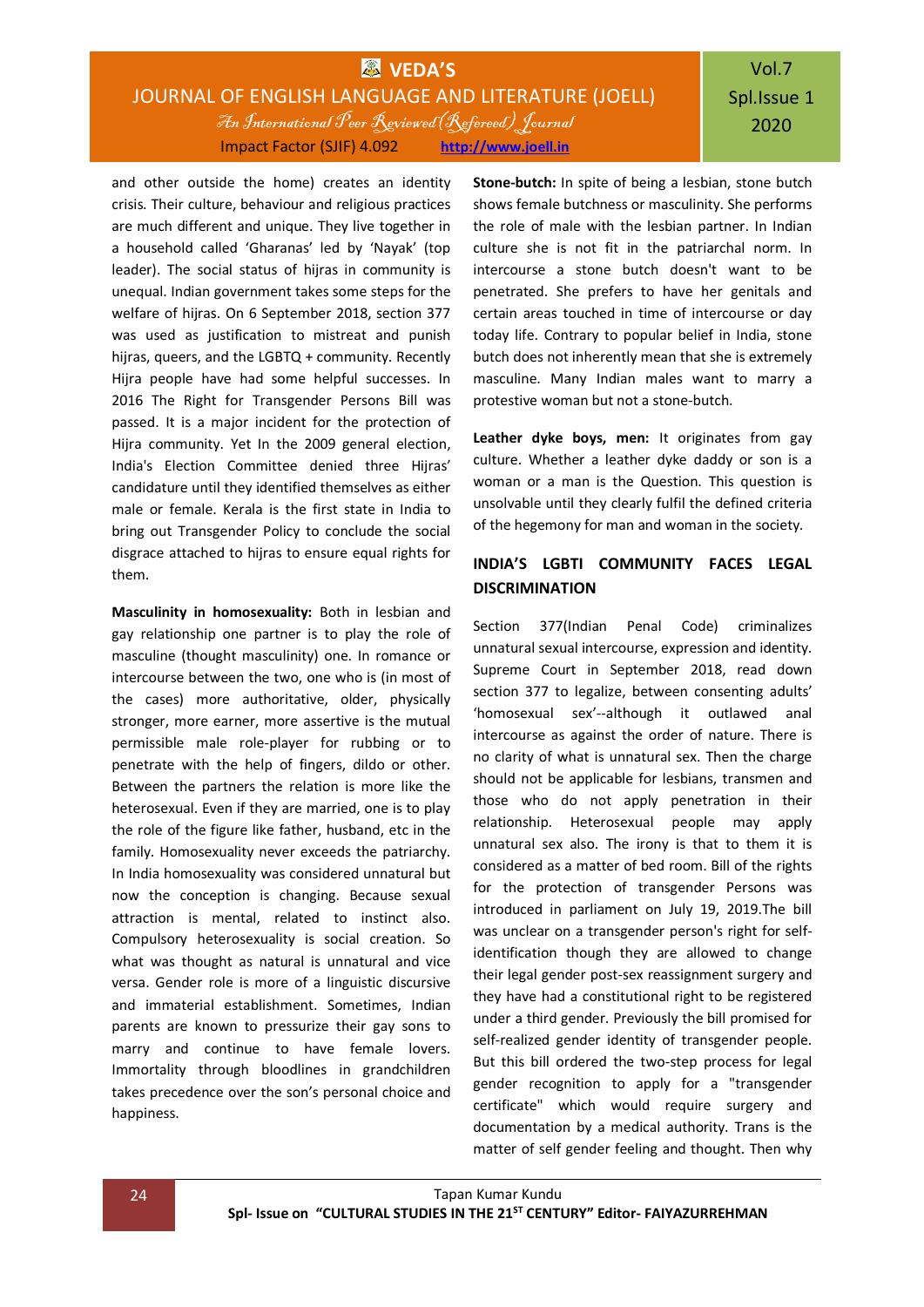and other outside the home) creates an identity crisis. Their culture, behaviour and religious practices are much different and unique. They live together in a household called 'Gharanas' led by 'Nayak' (top leader). The social status of hijras in community is unequal. Indian government takes some steps for the welfare of hijras. On 6 September 2018, section 377 was used as justification to mistreat and punish hijras, queers, and the LGBTQ + community. Recently Hijra people have had some helpful successes. In 2016 The Right for Transgender Persons Bill was passed. It is a major incident for the protection of Hijra community. Yet In the 2009 general election, India's Election Committee denied three Hijras' candidature until they identified themselves as either male or female. Kerala is the first state in India to bring out Transgender Policy to conclude the social disgrace attached to hijras to ensure equal rights for them.

**Masculinity in homosexuality:** Both in lesbian and gay relationship one partner is to play the role of masculine (thought masculinity) one. In romance or intercourse between the two, one who is (in most of the cases) more authoritative, older, physically stronger, more earner, more assertive is the mutual permissible male role-player for rubbing or to penetrate with the help of fingers, dildo or other. Between the partners the relation is more like the heterosexual. Even if they are married, one is to play the role of the figure like father, husband, etc in the family. Homosexuality never exceeds the patriarchy. In India homosexuality was considered unnatural but now the conception is changing. Because sexual attraction is mental, related to instinct also. Compulsory heterosexuality is social creation. So what was thought as natural is unnatural and vice versa. Gender role is more of a linguistic discursive and immaterial establishment. Sometimes, Indian parents are known to pressurize their gay sons to marry and continue to have female lovers. Immortality through bloodlines in grandchildren takes precedence over the son's personal choice and happiness.

**Stone-butch:** In spite of being a lesbian, stone butch shows female butchness or masculinity. She performs the role of male with the lesbian partner. In Indian culture she is not fit in the patriarchal norm. In intercourse a stone butch doesn't want to be penetrated. She prefers to have her genitals and certain areas touched in time of intercourse or day today life. Contrary to popular belief in India, stone butch does not inherently mean that she is extremely masculine. Many Indian males want to marry a protestive woman but not a stone-butch.

**Leather dyke boys, men:** It originates from gay culture. Whether a leather dyke daddy or son is a woman or a man is the Question. This question is unsolvable until they clearly fulfil the defined criteria of the hegemony for man and woman in the society.

## **INDIA'S LGBTI COMMUNITY FACES LEGAL DISCRIMINATION**

Section 377(Indian Penal Code) criminalizes unnatural sexual intercourse, expression and identity. Supreme Court in September 2018, read down section 377 to legalize, between consenting adults' 'homosexual sex'--although it outlawed anal intercourse as against the order of nature. There is no clarity of what is unnatural sex. Then the charge should not be applicable for lesbians, transmen and those who do not apply penetration in their relationship. Heterosexual people may apply unnatural sex also. The irony is that to them it is considered as a matter of bed room. Bill of the rights for the protection of transgender Persons was introduced in parliament on July 19, 2019.The bill was unclear on a transgender person's right for selfidentification though they are allowed to change their legal gender post-sex reassignment surgery and they have had a constitutional right to be registered under a third gender. Previously the bill promised for self-realized gender identity of transgender people. But this bill ordered the two-step process for legal gender recognition to apply for a "transgender certificate" which would require surgery and documentation by a medical authority. Trans is the matter of self gender feeling and thought. Then why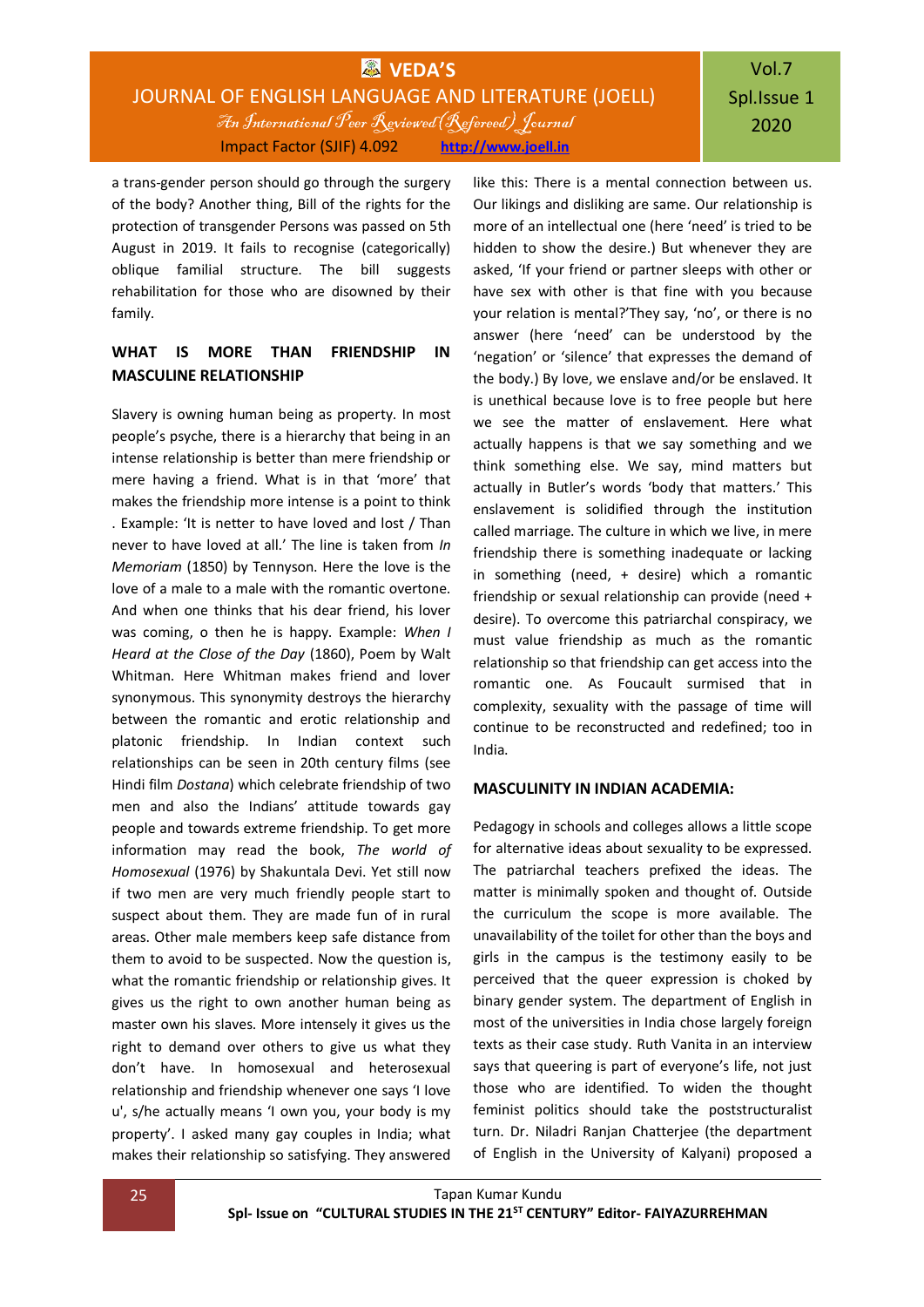# Vol.7 Spl.Issue 1 2020

a trans-gender person should go through the surgery of the body? Another thing, Bill of the rights for the protection of transgender Persons was passed on 5th August in 2019. It fails to recognise (categorically) oblique familial structure. The bill suggests rehabilitation for those who are disowned by their family.

## **WHAT IS MORE THAN FRIENDSHIP IN MASCULINE RELATIONSHIP**

Slavery is owning human being as property. In most people's psyche, there is a hierarchy that being in an intense relationship is better than mere friendship or mere having a friend. What is in that 'more' that makes the friendship more intense is a point to think . Example: 'It is netter to have loved and lost / Than never to have loved at all.' The line is taken from *In Memoriam* (1850) by Tennyson. Here the love is the love of a male to a male with the romantic overtone. And when one thinks that his dear friend, his lover was coming, o then he is happy. Example: *When I Heard at the Close of the Day* (1860), Poem by Walt Whitman. Here Whitman makes friend and lover synonymous. This synonymity destroys the hierarchy between the romantic and erotic relationship and platonic friendship. In Indian context such relationships can be seen in 20th century films (see Hindi film *Dostana*) which celebrate friendship of two men and also the Indians' attitude towards gay people and towards extreme friendship. To get more information may read the book, *The world of Homosexual* (1976) by Shakuntala Devi. Yet still now if two men are very much friendly people start to suspect about them. They are made fun of in rural areas. Other male members keep safe distance from them to avoid to be suspected. Now the question is, what the romantic friendship or relationship gives. It gives us the right to own another human being as master own his slaves. More intensely it gives us the right to demand over others to give us what they don't have. In homosexual and heterosexual relationship and friendship whenever one says 'I love u', s/he actually means 'I own you, your body is my property'. I asked many gay couples in India; what makes their relationship so satisfying. They answered

like this: There is a mental connection between us. Our likings and disliking are same. Our relationship is more of an intellectual one (here 'need' is tried to be hidden to show the desire.) But whenever they are asked, 'If your friend or partner sleeps with other or have sex with other is that fine with you because your relation is mental?'They say, 'no', or there is no answer (here 'need' can be understood by the 'negation' or 'silence' that expresses the demand of the body.) By love, we enslave and/or be enslaved. It is unethical because love is to free people but here we see the matter of enslavement. Here what actually happens is that we say something and we think something else. We say, mind matters but actually in Butler's words 'body that matters.' This enslavement is solidified through the institution called marriage. The culture in which we live, in mere friendship there is something inadequate or lacking in something (need, + desire) which a romantic friendship or sexual relationship can provide (need + desire). To overcome this patriarchal conspiracy, we must value friendship as much as the romantic relationship so that friendship can get access into the romantic one. As Foucault surmised that in complexity, sexuality with the passage of time will continue to be reconstructed and redefined; too in India.

### **MASCULINITY IN INDIAN ACADEMIA:**

Pedagogy in schools and colleges allows a little scope for alternative ideas about sexuality to be expressed. The patriarchal teachers prefixed the ideas. The matter is minimally spoken and thought of. Outside the curriculum the scope is more available. The unavailability of the toilet for other than the boys and girls in the campus is the testimony easily to be perceived that the queer expression is choked by binary gender system. The department of English in most of the universities in India chose largely foreign texts as their case study. Ruth Vanita in an interview says that queering is part of everyone's life, not just those who are identified. To widen the thought feminist politics should take the poststructuralist turn. Dr. Niladri Ranjan Chatterjee (the department of English in the University of Kalyani) proposed a